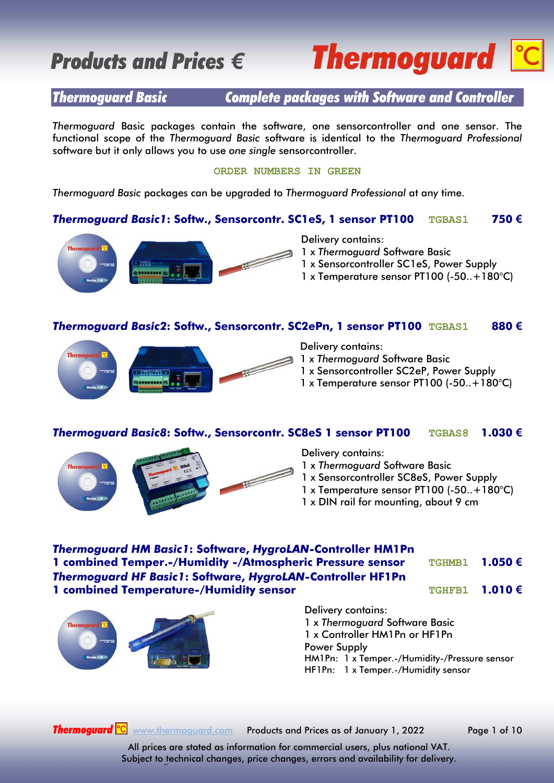

#### *Thermoguard Basic Complete packages with Software and Controller*

*Thermoguard* Basic packages contain the software, one sensorcontroller and one sensor. The functional scope of the *Thermoguard Basic* software is identical to the *Thermoguard Professional* software but it only allows you to use *one single* sensorcontroller.

#### **ORDER NUMBERS IN GREEN**

*Thermoguard Basic* packages can be upgraded to *Thermoguard Professional* at any time.

#### *Thermoguard Basic1***: Softw., Sensorcontr. SC1eS, 1 sensor PT100 TGBAS1 750 €**



Delivery contains:

- 1 x *Thermoguard* Software Basic
- 1 x Sensorcontroller SC1eS, Power Supply
- 1 x Temperature sensor PT100 (-50..+180°C)

#### *Thermoguard Basic2***: Softw., Sensorcontr. SC2ePn, 1 sensor PT100 TGBAS1 880 €**



Delivery contains:

- 1 x *Thermoguard* Software Basic
- 1 x Sensorcontroller SC2eP, Power Supply
- 1 x Temperature sensor PT100 (-50..+180°C)

#### *Thermoguard Basic8***: Softw., Sensorcontr. SC8eS 1 sensor PT100 TGBAS8 1.030 €**





Delivery contains:

- 1 x *Thermoguard* Software Basic
- 1 x Sensorcontroller SC8eS, Power Supply
- 1 x Temperature sensor PT100 (-50..+180°C)
- 1 x DIN rail for mounting, about 9 cm

#### *Thermoguard HM Basic1***: Software,** *HygroLAN***-Controller HM1Pn 1 combined Temper.-/Humidity -/Atmospheric Pressure sensor TGHMB1 1.050 €** *Thermoguard HF Basic1***: Software,** *HygroLAN***-Controller HF1Pn 1 combined Temperature-/Humidity sensor TGHFB1 1.010 €**



Delivery contains: 1 x *Thermoguard* Software Basic 1 x Controller HM1Pn or HF1Pn Power Supply HM1Pn: 1 x Temper.-/Humidity-/Pressure sensor HF1Pn: 1 x Temper.-/Humidity sensor

Thermoguard <sup>o</sup>C [www.thermoguard.com](http://www.thermoguard.com/) Products and Prices as of January 1, 2022 Page 1 of 10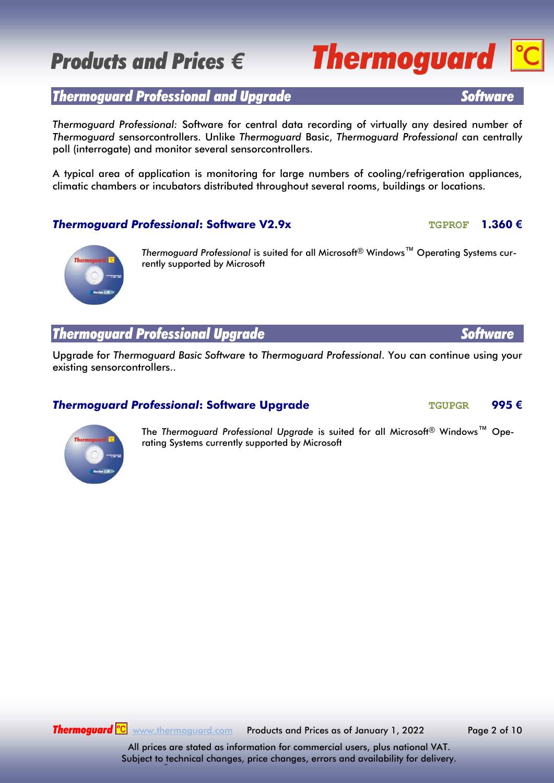## *Thermoguard Professional and Upgrade Software*

*Thermoguard Professional:* Software for central data recording of virtually any desired number of *Thermoguard* sensorcontrollers. Unlike *Thermoguard* Basic, *Thermoguard Professional* can centrally poll (interrogate) and monitor several sensorcontrollers.

A typical area of application is monitoring for large numbers of cooling/refrigeration appliances, climatic chambers or incubators distributed throughout several rooms, buildings or locations.

#### *Thermoguard Professional***: Software V2.9x TGPROF 1.360 €**

*Thermoguard Professional* is suited for all Microsoft® Windows™ Operating Systems currently supported by Microsoft

## *Thermoguard Professional Upgrade Software*

Upgrade for *Thermoguard Basic Software* to *Thermoguard Professional*. You can continue using your existing sensorcontrollers..

#### *Thermoguard Professional***: Software Upgrade TGUPGR 995 €**

The *Thermoguard Professional Upgrade* is suited for all Microsoft® Windows™ Operating Systems currently supported by Microsoft





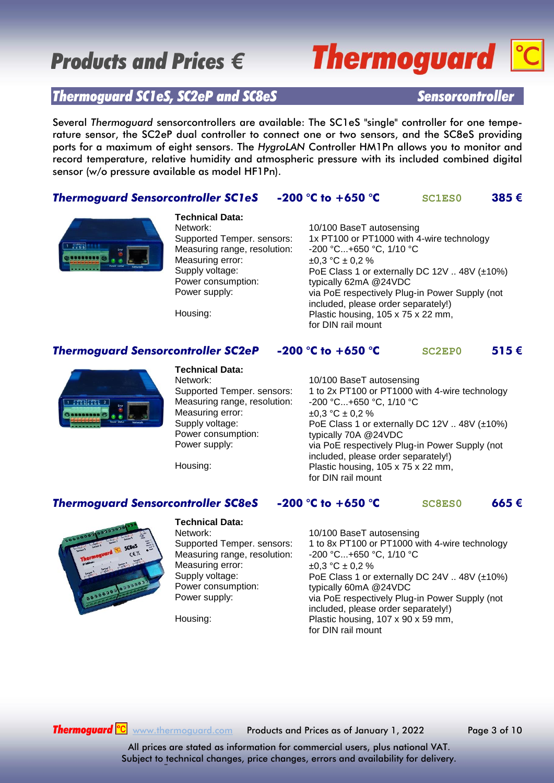#### *Thermoguard SC1eS, SC2eP and SC8eS Sensorcontroller*

Several *Thermoguard* sensorcontrollers are available: The SC1eS "single" controller for one temperature sensor, the SC2eP dual controller to connect one or two sensors, and the SC8eS providing ports for a maximum of eight sensors. The *HygroLAN* Controller HM1Pn allows you to monitor and record temperature, relative humidity and atmospheric pressure with its included combined digital sensor (w/o pressure available as model HF1Pn).

#### **Thermoguard Sensorcontroller SC1eS -200 °C to +650 °C SC1ES0 385 €**



**Technical Data:** Network: Supported Temper. sensors: Measuring range, resolution: Measuring error: Supply voltage: Power consumption: Power supply:

10/100 BaseT autosensing 1x PT100 or PT1000 with 4-wire technology -200 °C...+650 °C, 1/10 °C  $\pm 0.3$  °C  $\pm$  0.2 % PoE Class 1 or externally DC 12V .. 48V (±10%) typically 62mA @24VDC via PoE respectively Plug-in Power Supply (not included, please order separately!) Plastic housing, 105 x 75 x 22 mm, for DIN rail mount

Housing:

#### **Thermoguard Sensorcontroller SC2eP -200 °C to +650 °C** SC2EP0 515 €



#### **Technical Data:**

Network: Supported Temper. sensors: Measuring range, resolution: Measuring error: Supply voltage: Power consumption: Power supply:

10/100 BaseT autosensing 1 to 2x PT100 or PT1000 with 4-wire technology -200 °C...+650 °C, 1/10 °C  $\pm 0.3$  °C  $\pm$  0.2 % PoE Class 1 or externally DC 12V .. 48V (±10%) typically 70A @24VDC via PoE respectively Plug-in Power Supply (not included, please order separately!) Plastic housing, 105 x 75 x 22 mm, for DIN rail mount

Housing:

#### **Thermoguard Sensorcontroller SC8eS -200 °C to +650 °C** SC8ES0 **665** €



#### **Technical Data:**

Network: Supported Temper. sensors: Measuring range, resolution: Measuring error: Supply voltage: Power consumption: Power supply:

Housing:

10/100 BaseT autosensing 1 to 8x PT100 or PT1000 with 4-wire technology -200 °C...+650 °C, 1/10 °C  $+0.3$  °C + 0.2 % PoE Class 1 or externally DC 24V .. 48V (±10%) typically 60mA @24VDC via PoE respectively Plug-in Power Supply (not included, please order separately!) Plastic housing, 107 x 90 x 59 mm, for DIN rail mount

Thermoguard <sup>o</sup>C [www.thermoguard.com](http://www.thermoguard.com/) Products and Prices as of January 1, 2022 Page 3 of 10

All prices are stated as information for commercial users, plus national VAT. Subject to technical changes, price changes, errors and availability for delivery.

**Thermoguard C**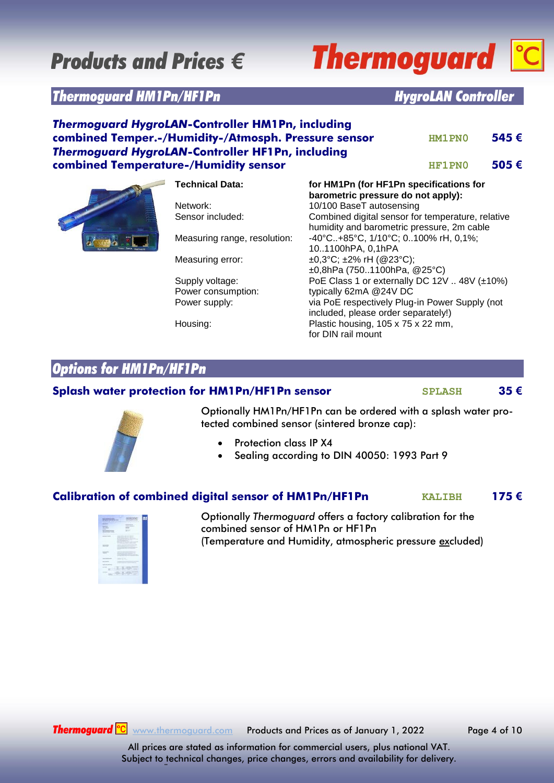# **Thermoguard C**

#### *Thermoguard HM1Pn/HF1Pn HygroLAN Controller*

| <b>Thermoguard HygroLAN-Controller HM1Pn, including</b><br>combined Temper.-/Humidity-/Atmosph. Pressure sensor |                                              |                                                                                                             | HM1PN0 | 545€ |
|-----------------------------------------------------------------------------------------------------------------|----------------------------------------------|-------------------------------------------------------------------------------------------------------------|--------|------|
| <b>Thermoguard HygroLAN-Controller HF1Pn, including</b><br>combined Temperature-/Humidity sensor                | $HP1$ $PN$                                   | 505 $\epsilon$                                                                                              |        |      |
|                                                                                                                 | <b>Technical Data:</b><br>. د ام مرد د کم ۸۱ | for HM1Pn (for HF1Pn specifications for<br>barometric pressure do not apply):<br>$10/100$ Desat suissansing |        |      |



Network: Sensor included:

Measuring range, resolution:

Measuring error:

Supply voltage: Power consumption: Power supply:

10/100 BaseT autosensing Combined digital sensor for temperature, relative humidity and barometric pressure, 2m cable -40°C..+85°C, 1/10°C; 0..100% rH, 0,1%; 10..1100hPA, 0,1hPA ±0,3°C; ±2% rH (@23°C); ±0,8hPa (750..1100hPa, @25°C) PoE Class 1 or externally DC 12V .. 48V (±10%) typically 62mA @24V DC via PoE respectively Plug-in Power Supply (not included, please order separately!) Plastic housing, 105 x 75 x 22 mm, for DIN rail mount

### *Options for HM1Pn/HF1Pn*

#### **Splash water protection for HM1Pn/HF1Pn sensor SPLASH 35 €**

Housing:

Optionally HM1Pn/HF1Pn can be ordered with a splash water protected combined sensor (sintered bronze cap):

- Protection class IP X4
- Sealing according to DIN 40050: 1993 Part 9

#### **Calibration of combined digital sensor of HM1Pn/HF1Pn KALIBH 175 €**



Optionally *Thermoguard* offers a factory calibration for the combined sensor of HM1Pn or HF1Pn (Temperature and Humidity, atmospheric pressure excluded)

Thermoguard **C** [www.thermoguard.com](http://www.thermoguard.com/) Products and Prices as of January 1, 2022 Page 4 of 10

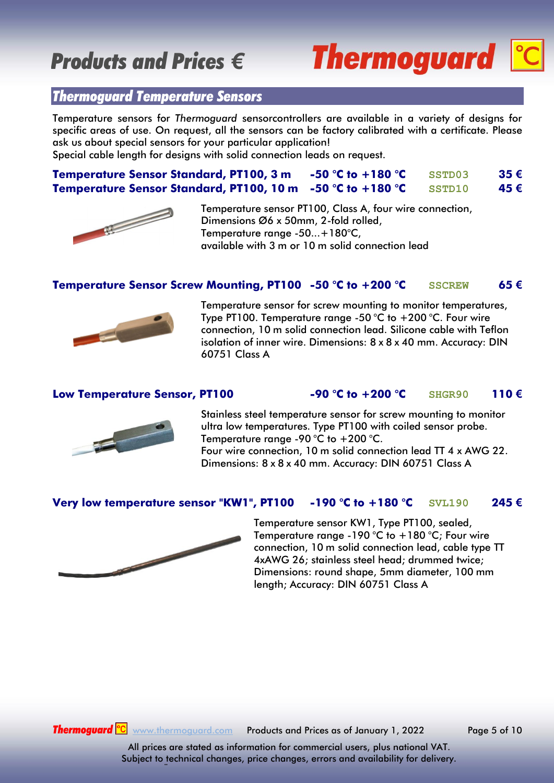### *Thermoguard Temperature Sensors*

Temperature sensors for *Thermoguard* sensorcontrollers are available in a variety of designs for specific areas of use. On request, all the sensors can be factory calibrated with a certificate. Please ask us about special sensors for your particular application!

Special cable length for designs with solid connection leads on request.

**Temperature Sensor Standard, PT100, 3 m -50 °C to +180 °C SSTD03 35 € Temperature Sensor Standard, PT100, 10 m -50 °C to +180 °C SSTD10 45 €**



Temperature sensor PT100, Class A, four wire connection, Dimensions Ø6 x 50mm, 2-fold rolled, Temperature range -50...+180°C, available with 3 m or 10 m solid connection lead

#### **Temperature Sensor Screw Mounting, PT100 -50 °C to +200 °C SSCREW 65 €**



Temperature sensor for screw mounting to monitor temperatures, Type PT100. Temperature range -50 °C to +200 °C. Four wire connection, 10 m solid connection lead. Silicone cable with Teflon isolation of inner wire. Dimensions: 8 x 8 x 40 mm. Accuracy: DIN 60751 Class A

#### **Low Temperature Sensor, PT100 -90 °C to +200 °C SHGR90 110 €**



Stainless steel temperature sensor for screw mounting to monitor ultra low temperatures. Type PT100 with coiled sensor probe. Temperature range -90  $^{\circ}$ C to +200  $^{\circ}$ C. Four wire connection, 10 m solid connection lead TT 4 x AWG 22. Dimensions: 8 x 8 x 40 mm. Accuracy: DIN 60751 Class A

#### **Very low temperature sensor "KW1", PT100 -190 °C to +180 °C SVL190 245 €**



Temperature sensor KW1, Type PT100, sealed, Temperature range -190 °C to  $+180$  °C; Four wire connection, 10 m solid connection lead, cable type TT 4xAWG 26; stainless steel head; drummed twice; Dimensions: round shape, 5mm diameter, 100 mm length; Accuracy: DIN 60751 Class A

Thermoguard <sup>o</sup>C [www.thermoguard.com](http://www.thermoguard.com/) Products and Prices as of January 1, 2022 Page 5 of 10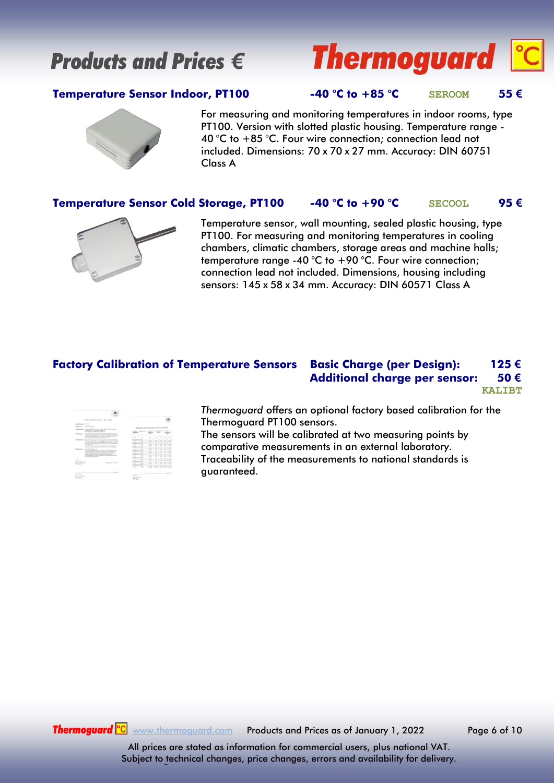**Temperature Sensor Indoor, PT100 -40 °C to +85 °C SEROOM 55 €**

**Thermoguard** 



For measuring and monitoring temperatures in indoor rooms, type PT100. Version with slotted plastic housing. Temperature range - 40 °C to +85 °C. Four wire connection; connection lead not included. Dimensions: 70 x 70 x 27 mm. Accuracy: DIN 60751 Class A

#### **Temperature Sensor Cold Storage, PT100 -40 °C to +90 °C SECOOL 95 €**



Temperature sensor, wall mounting, sealed plastic housing, type PT100. For measuring and monitoring temperatures in cooling chambers, climatic chambers, storage areas and machine halls; temperature range -40 °C to +90 °C. Four wire connection; connection lead not included. Dimensions, housing including sensors: 145 x 58 x 34 mm. Accuracy: DIN 60571 Class A

#### **Factory Calibration of Temperature Sensors Basic Charge (per Design): 125 € Additional charge per sensor: 50 €**

**KALIBT** 

|                                    | <b>REMAINING CONTRACT ON ANY</b>                                                                                                                                                                                                                                     |                                                              |                                                      |                                                               |                          |        |      |  |  |
|------------------------------------|----------------------------------------------------------------------------------------------------------------------------------------------------------------------------------------------------------------------------------------------------------------------|--------------------------------------------------------------|------------------------------------------------------|---------------------------------------------------------------|--------------------------|--------|------|--|--|
| <b>Build Scott 1979</b>            |                                                                                                                                                                                                                                                                      |                                                              |                                                      |                                                               |                          |        |      |  |  |
| <b>STATISTICS</b>                  | server because                                                                                                                                                                                                                                                       |                                                              | Moltoghill to take Worksteedbar for Al-Monte 2118 SM |                                                               |                          |        |      |  |  |
| <b>Salesman</b><br><b>RIGHTSON</b> | School and company from the state three to those to should<br>defense and college to the<br>NAME OF OCCUPANT OR OTHER DESIGNATION.<br>THE R. P. LEWIS CO., LANSING, MICH. 49-14039-1-120-2                                                                           | <b>MARKET</b><br>--<br>T                                     | Thomas range                                         | <b>Contract</b><br><b>Silvers</b><br>$\overline{\phantom{m}}$ | <b>Statistics</b><br>$-$ |        |      |  |  |
|                                    | Constitutions Foundation. Then Boston in Editorium can all<br>this case of the results process. The data on the modern of the first<br>and the substitution of the control of the same of                                                                            | $\sim$                                                       | $\sim$                                               | $-1$                                                          | $\rightarrow$            | $\sim$ | $-1$ |  |  |
|                                    | <b>MARINE CONTRACTORS' CARD IN A REPORT</b><br>the new age of the at the month of the forms. Whenever<br>a lots in the country of the country and the country of the top of the<br>and the second subset of the second control and the property of the second<br>--- | <b>CALIFORNIA CONTRACTO</b><br><b>NATIONAL PROPERTY</b><br>× |                                                      | -                                                             |                          |        |      |  |  |
| <b>CONTRACTOR</b>                  | LATE TANK OR CORP. OF COTS.<br>Total Thornto and Them I want                                                                                                                                                                                                         | to an excellent service                                      |                                                      |                                                               | ٠                        | ×      |      |  |  |
|                                    | the constant defined in the case "limits are will express an old-<br>trainer shows in a hill condition with in Hillson<br>structure Months W. Fascility for columns in the U.S.<br>allow to red well to have the country                                             | <b>CARD AND STATE</b><br>to all parents, streets             |                                                      |                                                               |                          |        |      |  |  |
|                                    | Exchanged by the Unique de Milleries de Apparture description<br>and their months and states                                                                                                                                                                         | ×<br>to an interface street.                                 | ٠                                                    |                                                               |                          |        |      |  |  |
|                                    |                                                                                                                                                                                                                                                                      | <b>STATISTICS</b> STATE                                      |                                                      |                                                               |                          | s      |      |  |  |
|                                    | Texting day 111 810                                                                                                                                                                                                                                                  | <b>CATALOG STATE</b>                                         |                                                      |                                                               |                          |        |      |  |  |

*Thermoguard* offers an optional factory based calibration for the Thermoguard PT100 sensors.

The sensors will be calibrated at two measuring points by comparative measurements in an external laboratory. Traceability of the measurements to national standards is guaranteed.

Thermoguard <sup>o</sup>C [www.thermoguard.com](http://www.thermoguard.com/) Products and Prices as of January 1, 2022 Page 6 of 10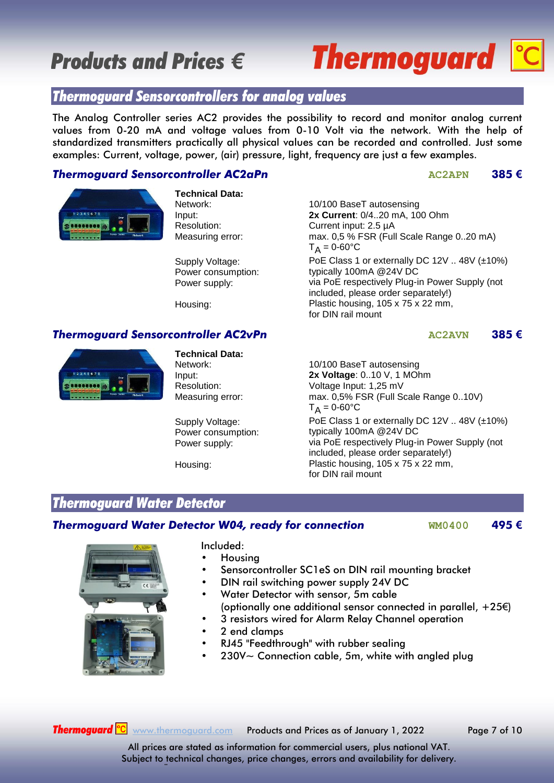

## *Thermoguard Sensorcontrollers for analog values*

The Analog Controller series AC2 provides the possibility to record and monitor analog current values from 0-20 mA and voltage values from 0-10 Volt via the network. With the help of standardized transmitters practically all physical values can be recorded and controlled. Just some examples: Current, voltage, power, (air) pressure, light, frequency are just a few examples.

#### *Thermoguard Sensorcontroller AC2aPn* **C2aPn AC2APN 385** €



**Technical Data:** Network: Input: Resolution: Measuring error:

Supply Voltage: Power consumption: Power supply:

10/100 BaseT autosensing **2x Current**: 0/4..20 mA, 100 Ohm Current input: 2.5 µA max. 0,5 % FSR (Full Scale Range 0..20 mA)  $T_A = 0.60$ °C PoE Class 1 or externally DC 12V .. 48V (±10%) typically 100mA @24V DC via PoE respectively Plug-in Power Supply (not included, please order separately!) Plastic housing, 105 x 75 x 22 mm, for DIN rail mount

#### Housing:

#### **Thermoguard Sensorcontroller AC2vPn AC24VN 385€**



**Technical Data:** Network: Input: Resolution: Measuring error:

Supply Voltage: Power consumption: Power supply:

Housing:

10/100 BaseT autosensing **2x Voltage**: 0..10 V, 1 MOhm Voltage Input: 1,25 mV max. 0,5% FSR (Full Scale Range 0..10V)  $T_A = 0.60$ °C PoE Class 1 or externally DC 12V .. 48V (±10%) typically 100mA @24V DC via PoE respectively Plug-in Power Supply (not included, please order separately!) Plastic housing, 105 x 75 x 22 mm, for DIN rail mount

## *Thermoguard Water Detector*

#### **Thermoguard Water Detector W04, ready for connection WM0400 495€**



Included:

- Housing
- Sensorcontroller SC1eS on DIN rail mounting bracket
- DIN rail switching power supply 24V DC
- Water Detector with sensor, 5m cable (optionally one additional sensor connected in parallel,  $+25\epsilon$ )
- 3 resistors wired for Alarm Relay Channel operation
- 2 end clamps
- RJ45 "Feedthrough" with rubber sealing
- 230V~ Connection cable, 5m, white with angled plug

Thermoguard **C** [www.thermoguard.com](http://www.thermoguard.com/) Products and Prices as of January 1, 2022 Page 7 of 10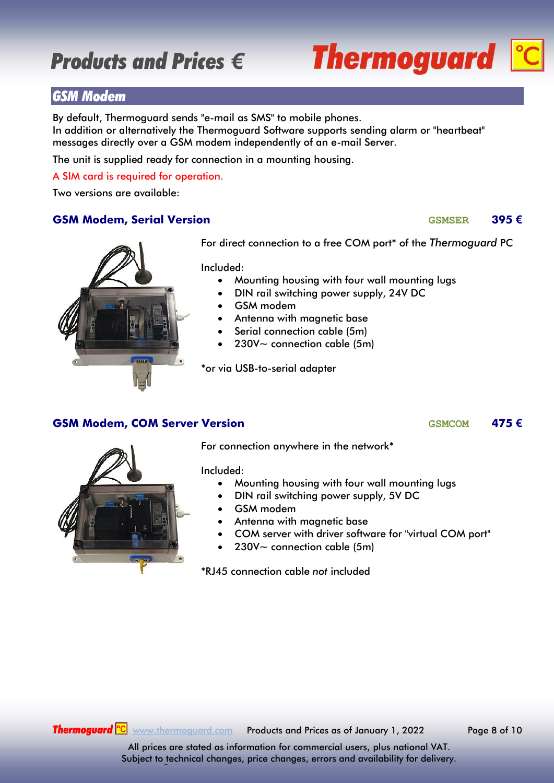**Thermoguard C** 

## *GSM Modem*

By default, Thermoguard sends "e-mail as SMS" to mobile phones. In addition or alternatively the Thermoguard Software supports sending alarm or "heartbeat" messages directly over a GSM modem independently of an e-mail Server.

The unit is supplied ready for connection in a mounting housing.

A SIM card is required for operation.

Two versions are available:

#### **GSM** Modem, Serial Version **GSM** CONSER 395 €

For direct connection to a free COM port\* of the *Thermoguard* PC

Included:

- Mounting housing with four wall mounting lugs
- DIN rail switching power supply, 24V DC
- GSM modem
- Antenna with magnetic base
- Serial connection cable (5m)
- $230V -$  connection cable (5m)

\*or via USB-to-serial adapter

#### **GSM Modem, COM Server Version GSM GSMCOM 475 €**

For connection anywhere in the network\*

Included:

- Mounting housing with four wall mounting lugs
- DIN rail switching power supply, 5V DC
- GSM modem
- Antenna with magnetic base
- COM server with driver software for "virtual COM port"
- 230V~ connection cable (5m)

\*RJ45 connection cable *not* included

Thermoguard <sup>o</sup>C [www.thermoguard.com](http://www.thermoguard.com/) Products and Prices as of January 1, 2022 Page 8 of 10



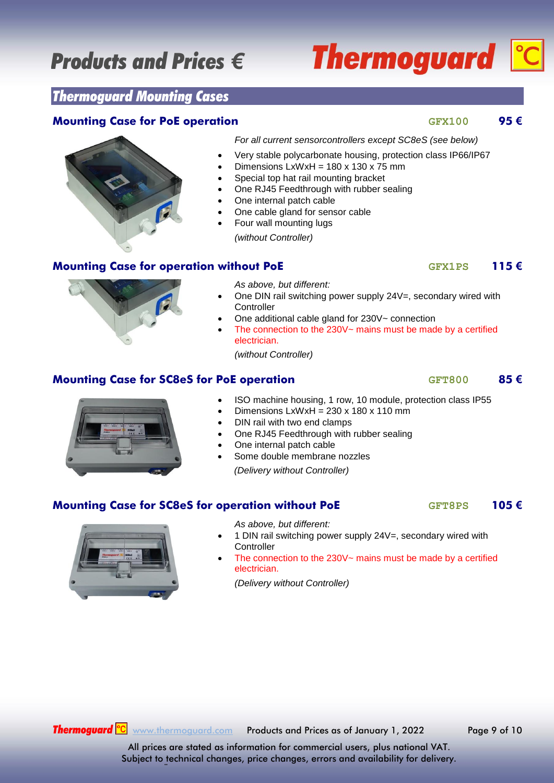## *Thermoguard Mounting Cases*

#### **Mounting Case for PoE operation GFX100 95€**

*For all current sensorcontrollers except SC8eS (see below)*

- Very stable polycarbonate housing, protection class IP66/IP67
- Dimensions LxWxH = 180 x 130 x 75 mm
- Special top hat rail mounting bracket
- One RJ45 Feedthrough with rubber sealing
- One internal patch cable
- One cable gland for sensor cable
	- Four wall mounting lugs

*(without Controller)*

#### **Mounting Case for operation without PoE CEX1PS 115€**

*As above, but different:*

- One DIN rail switching power supply 24V=, secondary wired with **Controller**
- One additional cable gland for 230V~ connection
- The connection to the 230V~ mains must be made by a certified electrician. *(without Controller)*

#### **Mounting Case for SC8eS for PoE operation GET800 85€**

- ISO machine housing, 1 row, 10 module, protection class IP55
- Dimensions LxWxH = 230 x 180 x 110 mm
- DIN rail with two end clamps
- One RJ45 Feedthrough with rubber sealing
- One internal patch cable
- Some double membrane nozzles *(Delivery without Controller)*

#### **Mounting Case for SC8eS for operation without PoE** GET8PS 105€

*As above, but different:*

- 1 DIN rail switching power supply 24V=, secondary wired with **Controller**
- The connection to the 230V~ mains must be made by a certified electrician.

*(Delivery without Controller)*

Thermoguard <sup>o</sup>C [www.thermoguard.com](http://www.thermoguard.com/) Products and Prices as of January 1, 2022 Page 9 of 10

All prices are stated as information for commercial users, plus national VAT. Subject to technical changes, price changes, errors and availability for delivery.







# **Thermoguard C**